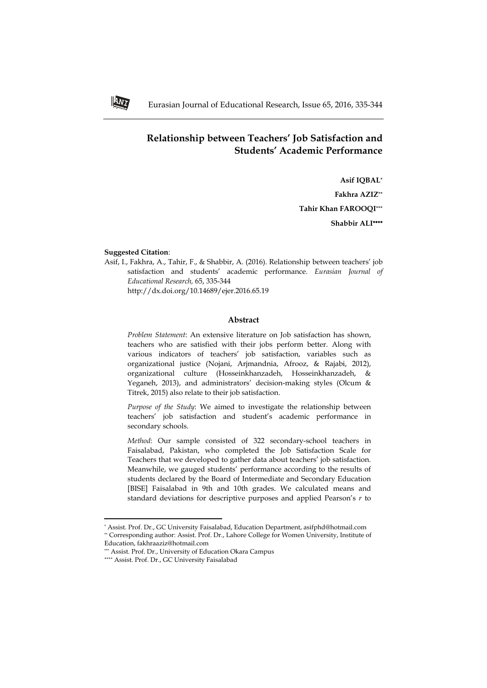# **Relationship between Teachers' Job Satisfaction and Students' Academic Performance**

**Asif IQBAL\* Fakhra AZIZ\*\* Tahir Khan FAROOQI\*\*\* Shabbir ALI**

### **Suggested Citation**:

Asif, I., Fakhra, A., Tahir, F., & Shabbir, A. (2016). Relationship between teachers' job satisfaction and students' academic performance. *Eurasian Journal of Educational Research,* 65, 335-344

http://dx.doi.org/10.14689/ejer.2016.65.19

# **Abstract**

*Problem Statement*: An extensive literature on Job satisfaction has shown, teachers who are satisfied with their jobs perform better. Along with various indicators of teachers' job satisfaction, variables such as organizational justice (Nojani, Arjmandnia, Afrooz, & Rajabi, 2012), organizational culture (Hosseinkhanzadeh, Hosseinkhanzadeh, & Yeganeh, 2013), and administrators' decision-making styles (Olcum & Titrek, 2015) also relate to their job satisfaction.

*Purpose of the Study*: We aimed to investigate the relationship between teachers' job satisfaction and student's academic performance in secondary schools.

*Method*: Our sample consisted of 322 secondary-school teachers in Faisalabad, Pakistan, who completed the Job Satisfaction Scale for Teachers that we developed to gather data about teachers' job satisfaction. Meanwhile, we gauged students' performance according to the results of students declared by the Board of Intermediate and Secondary Education [BISE] Faisalabad in 9th and 10th grades. We calculated means and standard deviations for descriptive purposes and applied Pearson's *r* to

 $\overline{\phantom{a}}$ 



<sup>\*</sup> Assist. Prof. Dr., GC University Faisalabad, Education Department, asifphd@hotmail.com \*\* Corresponding author: Assist. Prof. Dr., Lahore College for Women University, Institute of Education, fakhraaziz@hotmail.com

<sup>\*\*\*</sup> Assist. Prof. Dr., University of Education Okara Campus

<sup>\*\*\*\*</sup> Assist. Prof. Dr., GC University Faisalabad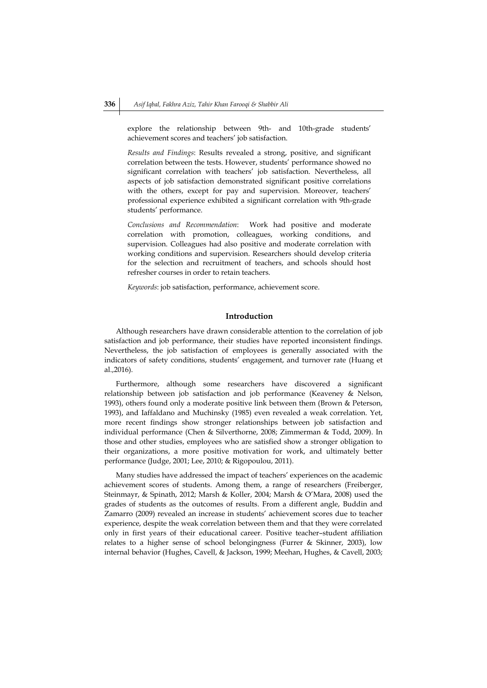explore the relationship between 9th- and 10th-grade students' achievement scores and teachers' job satisfaction.

*Results and Findings*: Results revealed a strong, positive, and significant correlation between the tests. However, students' performance showed no significant correlation with teachers' job satisfaction. Nevertheless, all aspects of job satisfaction demonstrated significant positive correlations with the others, except for pay and supervision. Moreover, teachers' professional experience exhibited a significant correlation with 9th-grade students' performance.

*Conclusions and Recommendation*: Work had positive and moderate correlation with promotion, colleagues, working conditions, and supervision. Colleagues had also positive and moderate correlation with working conditions and supervision. Researchers should develop criteria for the selection and recruitment of teachers, and schools should host refresher courses in order to retain teachers.

*Keywords*: job satisfaction, performance, achievement score.

## **Introduction**

Although researchers have drawn considerable attention to the correlation of job satisfaction and job performance, their studies have reported inconsistent findings. Nevertheless, the job satisfaction of employees is generally associated with the indicators of safety conditions, students' engagement, and turnover rate (Huang et al.,2016).

Furthermore, although some researchers have discovered a significant relationship between job satisfaction and job performance (Keaveney & Nelson, 1993), others found only a moderate positive link between them (Brown & Peterson, 1993), and Iaffaldano and Muchinsky (1985) even revealed a weak correlation. Yet, more recent findings show stronger relationships between job satisfaction and individual performance (Chen & Silverthorne, 2008; Zimmerman & Todd, 2009). In those and other studies, employees who are satisfied show a stronger obligation to their organizations, a more positive motivation for work, and ultimately better performance (Judge, 2001; Lee, 2010; & Rigopoulou, 2011).

Many studies have addressed the impact of teachers' experiences on the academic achievement scores of students. Among them, a range of researchers (Freiberger, Steinmayr, & Spinath, 2012; Marsh & Koller, 2004; Marsh & O'Mara, 2008) used the grades of students as the outcomes of results. From a different angle, Buddin and Zamarro (2009) revealed an increase in students' achievement scores due to teacher experience, despite the weak correlation between them and that they were correlated only in first years of their educational career. Positive teacher–student affiliation relates to a higher sense of school belongingness (Furrer & Skinner, 2003), low internal behavior (Hughes, Cavell, & Jackson, 1999; Meehan, Hughes, & Cavell, 2003;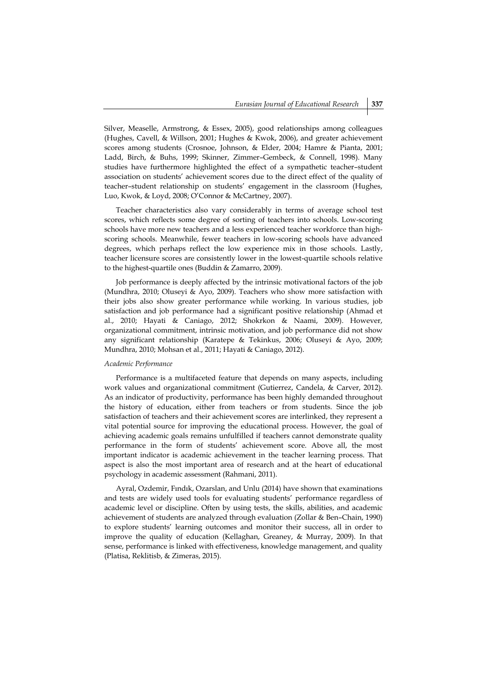Silver, Measelle, Armstrong, & Essex, 2005), good relationships among colleagues (Hughes, Cavell, & Willson, 2001; Hughes & Kwok, 2006), and greater achievement scores among students (Crosnoe, Johnson, & Elder, 2004; Hamre & Pianta, 2001; Ladd, Birch, & Buhs, 1999; Skinner, Zimmer–Gembeck, & Connell, 1998). Many studies have furthermore highlighted the effect of a sympathetic teacher–student association on students' achievement scores due to the direct effect of the quality of teacher–student relationship on students' engagement in the classroom (Hughes, Luo, Kwok, & Loyd, 2008; O'Connor & McCartney, 2007).

Teacher characteristics also vary considerably in terms of average school test scores, which reflects some degree of sorting of teachers into schools. Low-scoring schools have more new teachers and a less experienced teacher workforce than highscoring schools. Meanwhile, fewer teachers in low-scoring schools have advanced degrees, which perhaps reflect the low experience mix in those schools. Lastly, teacher licensure scores are consistently lower in the lowest-quartile schools relative to the highest-quartile ones (Buddin & Zamarro, 2009).

Job performance is deeply affected by the intrinsic motivational factors of the job (Mundhra, 2010; Oluseyi & Ayo, 2009). Teachers who show more satisfaction with their jobs also show greater performance while working. In various studies, job satisfaction and job performance had a significant positive relationship (Ahmad et al., 2010; Hayati & Caniago, 2012; Shokrkon & Naami, 2009). However, organizational commitment, intrinsic motivation, and job performance did not show any significant relationship (Karatepe & Tekinkus, 2006; Oluseyi & Ayo, 2009; Mundhra, 2010; Mohsan et al., 2011; Hayati & Caniago, 2012).

#### *Academic Performance*

Performance is a multifaceted feature that depends on many aspects, including work values and organizational commitment (Gutierrez, Candela, & Carver, 2012). As an indicator of productivity, performance has been highly demanded throughout the history of education, either from teachers or from students. Since the job satisfaction of teachers and their achievement scores are interlinked, they represent a vital potential source for improving the educational process. However, the goal of achieving academic goals remains unfulfilled if teachers cannot demonstrate quality performance in the form of students' achievement score. Above all, the most important indicator is academic achievement in the teacher learning process. That aspect is also the most important area of research and at the heart of educational psychology in academic assessment (Rahmani, 2011).

Ayral, Ozdemir, Fındık, Ozarslan, and Unlu (2014) have shown that examinations and tests are widely used tools for evaluating students' performance regardless of academic level or discipline. Often by using tests, the skills, abilities, and academic achievement of students are analyzed through evaluation (Zollar & Ben–Chain, 1990) to explore students' learning outcomes and monitor their success, all in order to improve the quality of education (Kellaghan, Greaney, & Murray, 2009). In that sense, performance is linked with effectiveness, knowledge management, and quality (Platisa, Reklitisb, & Zimeras, 2015).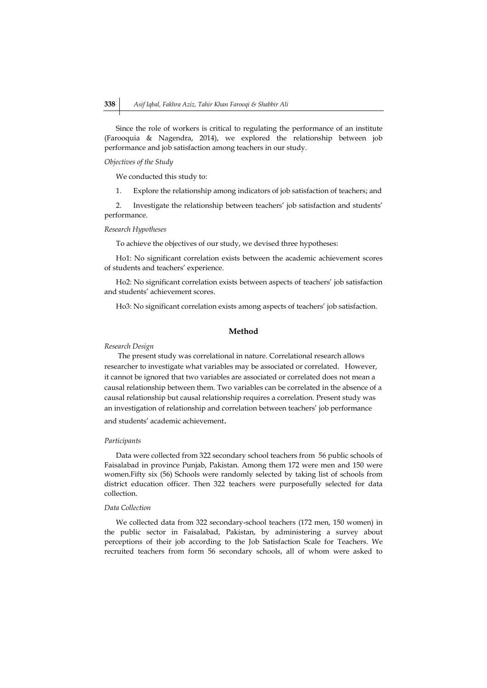Since the role of workers is critical to regulating the performance of an institute (Farooquia & Nagendra, 2014), we explored the relationship between job performance and job satisfaction among teachers in our study.

#### *Objectives of the Study*

We conducted this study to:

1. Explore the relationship among indicators of job satisfaction of teachers; and

2. Investigate the relationship between teachers' job satisfaction and students' performance.

*Research Hypotheses*

To achieve the objectives of our study, we devised three hypotheses:

Ho1: No significant correlation exists between the academic achievement scores of students and teachers' experience.

Ho2: No significant correlation exists between aspects of teachers' job satisfaction and students' achievement scores.

Ho3: No significant correlation exists among aspects of teachers' job satisfaction.

## **Method**

#### *Research Design*

The present study was correlational in nature. Correlational research allows researcher to investigate what variables may be associated or correlated. However, it cannot be ignored that two variables are associated or correlated does not mean a causal relationship between them. Two variables can be correlated in the absence of a causal relationship but causal relationship requires a correlation. Present study was an investigation of relationship and correlation between teachers' job performance and students' academic achievement.

## *Participants*

Data were collected from 322 secondary school teachers from 56 public schools of Faisalabad in province Punjab, Pakistan. Among them 172 were men and 150 were women.Fifty six (56) Schools were randomly selected by taking list of schools from district education officer. Then 322 teachers were purposefully selected for data collection.

## *Data Collection*

We collected data from 322 secondary-school teachers (172 men, 150 women) in the public sector in Faisalabad, Pakistan, by administering a survey about perceptions of their job according to the Job Satisfaction Scale for Teachers. We recruited teachers from form 56 secondary schools, all of whom were asked to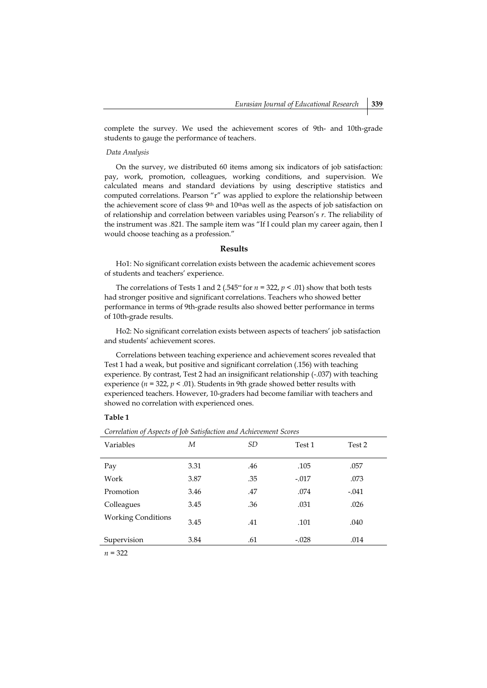complete the survey. We used the achievement scores of 9th- and 10th-grade students to gauge the performance of teachers.

### *Data Analysis*

On the survey, we distributed 60 items among six indicators of job satisfaction: pay, work, promotion, colleagues, working conditions, and supervision. We calculated means and standard deviations by using descriptive statistics and computed correlations. Pearson "r" was applied to explore the relationship between the achievement score of class 9<sup>th</sup> and 10<sup>th</sup>as well as the aspects of job satisfaction on of relationship and correlation between variables using Pearson's *r*. The reliability of the instrument was .821. The sample item was "If I could plan my career again, then I would choose teaching as a profession."

## **Results**

Ho1: No significant correlation exists between the academic achievement scores of students and teachers' experience.

The correlations of Tests 1 and 2 (.545<sup>\*\*</sup> for  $n = 322$ ,  $p < .01$ ) show that both tests had stronger positive and significant correlations. Teachers who showed better performance in terms of 9th-grade results also showed better performance in terms of 10th-grade results.

Ho2: No significant correlation exists between aspects of teachers' job satisfaction and students' achievement scores.

Correlations between teaching experience and achievement scores revealed that Test 1 had a weak, but positive and significant correlation (.156) with teaching experience. By contrast, Test 2 had an insignificant relationship (-.037) with teaching experience ( $n = 322$ ,  $p < .01$ ). Students in 9th grade showed better results with experienced teachers. However, 10-graders had become familiar with teachers and showed no correlation with experienced ones.

### **Table 1**

*Correlation of Aspects of Job Satisfaction and Achievement Scores*

| Variables                 | М    | <i>SD</i> | Test 1  | Test 2  |  |
|---------------------------|------|-----------|---------|---------|--|
| Pay                       | 3.31 | .46       | .105    | .057    |  |
| Work                      | 3.87 | .35       | $-.017$ | .073    |  |
| Promotion                 | 3.46 | .47       | .074    | $-.041$ |  |
| Colleagues                | 3.45 | .36       | .031    | .026    |  |
| <b>Working Conditions</b> | 3.45 | .41       | .101    | .040    |  |
| Supervision               | 3.84 | .61       | $-.028$ | .014    |  |
|                           |      |           |         |         |  |

*n* = 322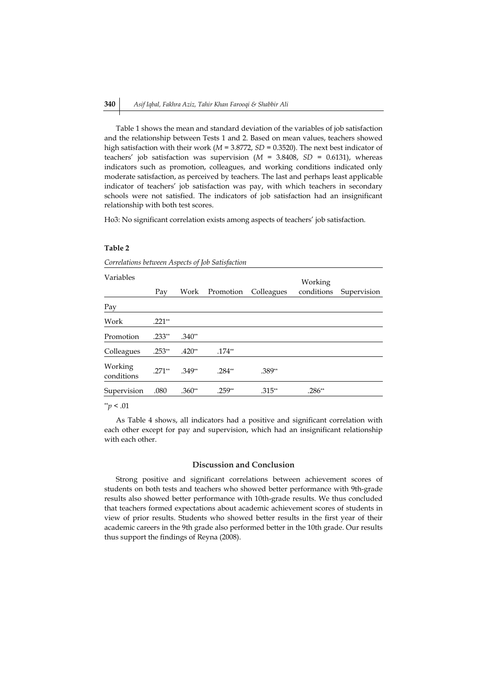Table 1 shows the mean and standard deviation of the variables of job satisfaction and the relationship between Tests 1 and 2. Based on mean values, teachers showed high satisfaction with their work (*M* = 3.8772, *SD* = 0.3520). The next best indicator of teachers' job satisfaction was supervision (*M* = 3.8408, *SD* = 0.6131), whereas indicators such as promotion, colleagues, and working conditions indicated only moderate satisfaction, as perceived by teachers. The last and perhaps least applicable indicator of teachers' job satisfaction was pay, with which teachers in secondary schools were not satisfied. The indicators of job satisfaction had an insignificant relationship with both test scores.

Ho3: No significant correlation exists among aspects of teachers' job satisfaction.

# **Table 2**

*Correlations between Aspects of Job Satisfaction*

| Pay      | Work     | Promotion | Colleagues | conditions | Supervision |
|----------|----------|-----------|------------|------------|-------------|
|          |          |           |            |            |             |
| $.221**$ |          |           |            |            |             |
| $.233**$ | $.340**$ |           |            |            |             |
| $.253**$ | $.420**$ | $.174**$  |            |            |             |
| $.271**$ | $.349**$ | $.284**$  | .389**     |            |             |
| .080     | $.360**$ | $.259**$  | $.315**$   | $.286**$   |             |
|          |          |           |            |            | Working     |

\*\**p* < .01

As Table 4 shows, all indicators had a positive and significant correlation with each other except for pay and supervision, which had an insignificant relationship with each other.

#### **Discussion and Conclusion**

Strong positive and significant correlations between achievement scores of students on both tests and teachers who showed better performance with 9th-grade results also showed better performance with 10th-grade results. We thus concluded that teachers formed expectations about academic achievement scores of students in view of prior results. Students who showed better results in the first year of their academic careers in the 9th grade also performed better in the 10th grade. Our results thus support the findings of Reyna (2008).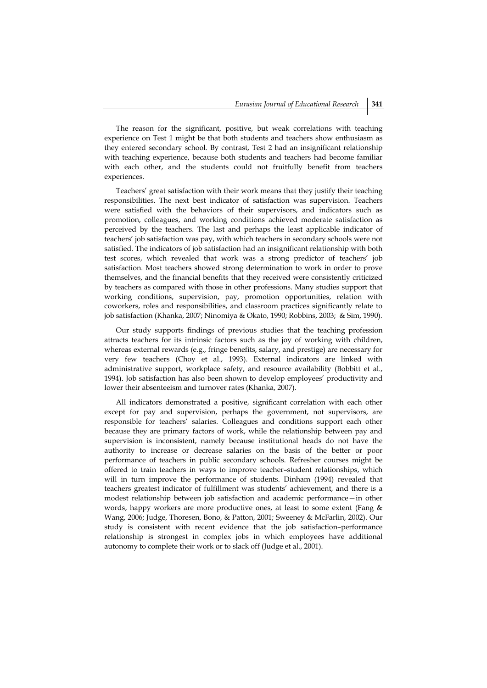The reason for the significant, positive, but weak correlations with teaching experience on Test 1 might be that both students and teachers show enthusiasm as they entered secondary school. By contrast, Test 2 had an insignificant relationship with teaching experience, because both students and teachers had become familiar with each other, and the students could not fruitfully benefit from teachers experiences.

Teachers' great satisfaction with their work means that they justify their teaching responsibilities. The next best indicator of satisfaction was supervision. Teachers were satisfied with the behaviors of their supervisors, and indicators such as promotion, colleagues, and working conditions achieved moderate satisfaction as perceived by the teachers. The last and perhaps the least applicable indicator of teachers' job satisfaction was pay, with which teachers in secondary schools were not satisfied. The indicators of job satisfaction had an insignificant relationship with both test scores, which revealed that work was a strong predictor of teachers' job satisfaction. Most teachers showed strong determination to work in order to prove themselves, and the financial benefits that they received were consistently criticized by teachers as compared with those in other professions. Many studies support that working conditions, supervision, pay, promotion opportunities, relation with coworkers, roles and responsibilities, and classroom practices significantly relate to job satisfaction (Khanka, 2007; Ninomiya & Okato, 1990; Robbins, 2003; & Sim, 1990).

Our study supports findings of previous studies that the teaching profession attracts teachers for its intrinsic factors such as the joy of working with children, whereas external rewards (e.g., fringe benefits, salary, and prestige) are necessary for very few teachers (Choy et al., 1993). External indicators are linked with administrative support, workplace safety, and resource availability (Bobbitt et al., 1994). Job satisfaction has also been shown to develop employees' productivity and lower their absenteeism and turnover rates (Khanka, 2007).

All indicators demonstrated a positive, significant correlation with each other except for pay and supervision, perhaps the government, not supervisors, are responsible for teachers' salaries. Colleagues and conditions support each other because they are primary factors of work, while the relationship between pay and supervision is inconsistent, namely because institutional heads do not have the authority to increase or decrease salaries on the basis of the better or poor performance of teachers in public secondary schools. Refresher courses might be offered to train teachers in ways to improve teacher–student relationships, which will in turn improve the performance of students. Dinham (1994) revealed that teachers greatest indicator of fulfillment was students' achievement, and there is a modest relationship between job satisfaction and academic performance—in other words, happy workers are more productive ones, at least to some extent (Fang & Wang, 2006; Judge, Thoresen, Bono, & Patton, 2001; Sweeney & McFarlin, 2002). Our study is consistent with recent evidence that the job satisfaction–performance relationship is strongest in complex jobs in which employees have additional autonomy to complete their work or to slack off (Judge et al., 2001).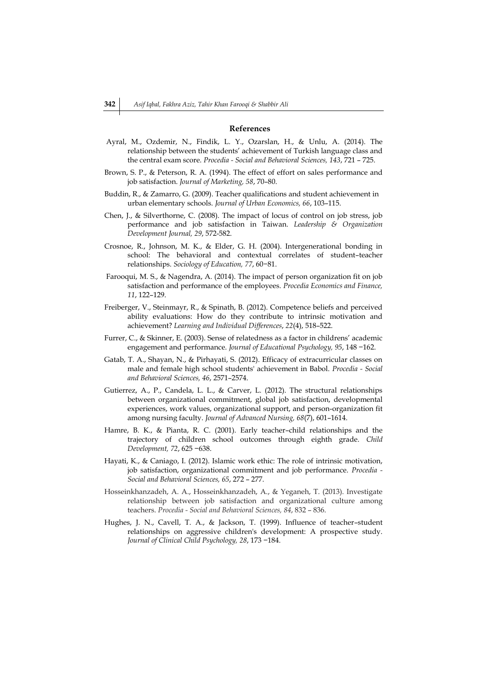## **References**

- Ayral, M., Ozdemir, N., Findik, L. Y., Ozarslan, H., & Unlu, A. (2014). The relationship between the students' achievement of Turkish language class and the central exam score. *Procedia - Social and Behavioral Sciences, 143*, 721 – 725.
- Brown, S. P., & Peterson, R. A. (1994). The effect of effort on sales performance and job satisfaction. *Journal of Marketing, 58*, 70–80.
- Buddin, R., & Zamarro, G. (2009). Teacher qualifications and student achievement in urban elementary schools. *Journal of Urban Economics, 66*, 103–115.
- Chen, J., & Silverthorne, C. (2008). The impact of locus of control on job stress, job performance and job satisfaction in Taiwan. *Leadership & Organization Development Journal, 29*, 572-582.
- Crosnoe, R., Johnson, M. K., & Elder, G. H. (2004). Intergenerational bonding in school: The behavioral and contextual correlates of student–teacher relationships. *Sociology of Education, 77*, 60−81.
- Farooqui, M. S., & Nagendra, A. (2014). The impact of person organization fit on job satisfaction and performance of the employees. *Procedia Economics and Finance, 11*, 122–129.
- Freiberger, V., Steinmayr, R., & Spinath, B. (2012). Competence beliefs and perceived ability evaluations: How do they contribute to intrinsic motivation and achievement? *Learning and Individual Differences*, *22*(4), 518–522.
- Furrer, C., & Skinner, E. (2003). Sense of relatedness as a factor in childrens' academic engagement and performance. *Journal of Educational Psychology, 95*, 148 −162.
- Gatab, T. A., Shayan, N., & Pirhayati, S. (2012). Efficacy of extracurricular classes on male and female high school students' achievement in Babol. *Procedia - Social and Behavioral Sciences, 46*, 2571–2574.
- Gutierrez, A., P., Candela, L. L., & Carver, L. (2012). The structural relationships between organizational commitment, global job satisfaction, developmental experiences, work values, organizational support, and person-organization fit among nursing faculty. *Journal of Advanced Nursing, 68*(7), 601–1614.
- Hamre, B. K., & Pianta, R. C. (2001). Early teacher–child relationships and the trajectory of children school outcomes through eighth grade. *Child Development, 72*, 625 −638.
- Hayati, K., & Caniago, I. (2012). Islamic work ethic: The role of intrinsic motivation, job satisfaction, organizational commitment and job performance. *Procedia - Social and Behavioral Sciences, 65*, 272 – 277.
- Hosseinkhanzadeh, A. A., Hosseinkhanzadeh, A., & Yeganeh, T. (2013). Investigate relationship between job satisfaction and organizational culture among teachers. *Procedia - Social and Behavioral Sciences, 84*, 832 – 836.
- Hughes, J. N., Cavell, T. A., & Jackson, T. (1999). Influence of teacher–student relationships on aggressive children's development: A prospective study. *Journal of Clinical Child Psychology, 28*, 173 −184.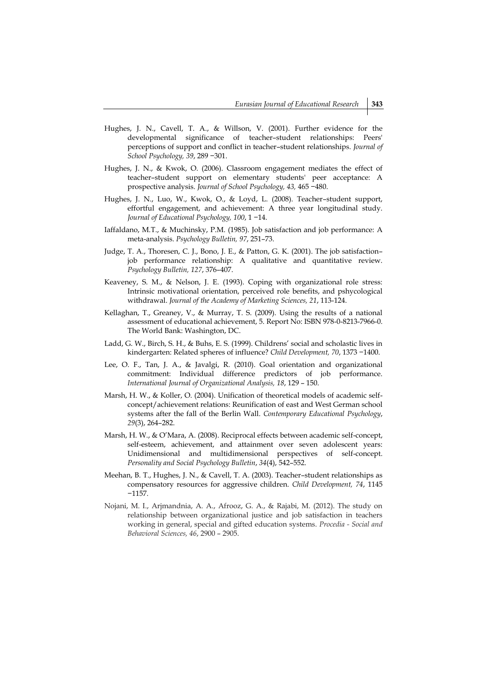- Hughes, J. N., Cavell, T. A., & Willson, V. (2001). Further evidence for the developmental significance of teacher–student relationships: Peers' perceptions of support and conflict in teacher–student relationships. *Journal of School Psychology, 39*, 289 −301.
- Hughes, J. N., & Kwok, O. (2006). Classroom engagement mediates the effect of teacher–student support on elementary students' peer acceptance: A prospective analysis. *Journal of School Psychology, 43,* 465 −480.
- Hughes, J. N., Luo, W., Kwok, O., & Loyd, L. (2008). Teacher–student support, effortful engagement, and achievement: A three year longitudinal study. *Journal of Educational Psychology, 100*, 1 −14.
- Iaffaldano, M.T., & Muchinsky, P.M. (1985). Job satisfaction and job performance: A meta-analysis. *Psychology Bulletin, 97*, 251–73.
- Judge, T. A., Thoresen, C. J., Bono, J. E., & Patton, G. K. (2001). The job satisfaction– job performance relationship: A qualitative and quantitative review. *Psychology Bulletin, 127*, 376–407.
- Keaveney, S. M., & Nelson, J. E. (1993). Coping with organizational role stress: Intrinsic motivational orientation, perceived role benefits, and pshycological withdrawal. *Journal of the Academy of Marketing Sciences, 21*, 113-124.
- Kellaghan, T., Greaney, V., & Murray, T. S. (2009). Using the results of a national assessment of educational achievement, 5. Report No: ISBN 978-0-8213-7966-0. The World Bank: Washington, DC.
- Ladd, G. W., Birch, S. H., & Buhs, E. S. (1999). Childrens' social and scholastic lives in kindergarten: Related spheres of influence? *Child Development, 70*, 1373 −1400.
- Lee, O. F., Tan, J. A., & Javalgi, R. (2010). Goal orientation and organizational commitment: Individual difference predictors of job performance. *International Journal of Organizational Analysis, 18*, 129 – 150.
- Marsh, H. W., & Koller, O. (2004). Unification of theoretical models of academic selfconcept/achievement relations: Reunification of east and West German school systems after the fall of the Berlin Wall. *Contemporary Educational Psychology*, *29*(3), 264–282.
- Marsh, H. W., & O'Mara, A. (2008). Reciprocal effects between academic self-concept, self-esteem, achievement, and attainment over seven adolescent years: Unidimensional and multidimensional perspectives of self-concept. *Personality and Social Psychology Bulletin*, *34*(4), 542–552.
- Meehan, B. T., Hughes, J. N., & Cavell, T. A. (2003). Teacher–student relationships as compensatory resources for aggressive children. *Child Development, 74*, 1145 −1157.
- Nojani, M. I., Arjmandnia, A. A., Afrooz, G. A., & Rajabi, M. (2012). The study on relationship between organizational justice and job satisfaction in teachers working in general, special and gifted education systems. *Procedia - Social and Behavioral Sciences, 46*, 2900 – 2905.